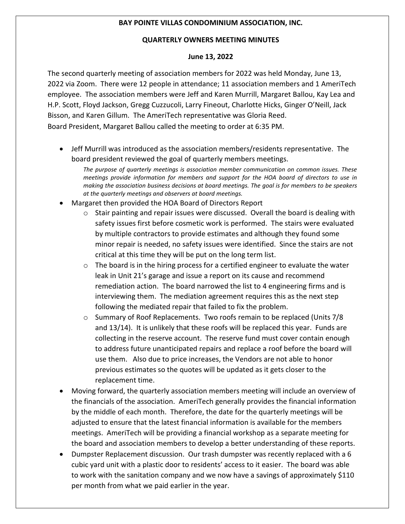## **BAY POINTE VILLAS CONDOMINIUM ASSOCIATION, INC.**

## **QUARTERLY OWNERS MEETING MINUTES**

## **June 13, 2022**

The second quarterly meeting of association members for 2022 was held Monday, June 13, 2022 via Zoom. There were 12 people in attendance; 11 association members and 1 AmeriTech employee. The association members were Jeff and Karen Murrill, Margaret Ballou, Kay Lea and H.P. Scott, Floyd Jackson, Gregg Cuzzucoli, Larry Fineout, Charlotte Hicks, Ginger O'Neill, Jack Bisson, and Karen Gillum. The AmeriTech representative was Gloria Reed. Board President, Margaret Ballou called the meeting to order at 6:35 PM.

• Jeff Murrill was introduced as the association members/residents representative. The board president reviewed the goal of quarterly members meetings.

*The purpose of quarterly meetings is association member communication on common issues. These meetings provide information for members and support for the HOA board of directors to use in making the association business decisions at board meetings. The goal is for members to be speakers at the quarterly meetings and observers at board meetings.* 

- Margaret then provided the HOA Board of Directors Report
	- $\circ$  Stair painting and repair issues were discussed. Overall the board is dealing with safety issues first before cosmetic work is performed. The stairs were evaluated by multiple contractors to provide estimates and although they found some minor repair is needed, no safety issues were identified. Since the stairs are not critical at this time they will be put on the long term list.
	- $\circ$  The board is in the hiring process for a certified engineer to evaluate the water leak in Unit 21's garage and issue a report on its cause and recommend remediation action. The board narrowed the list to 4 engineering firms and is interviewing them. The mediation agreement requires this as the next step following the mediated repair that failed to fix the problem.
	- $\circ$  Summary of Roof Replacements. Two roofs remain to be replaced (Units 7/8 and 13/14). It is unlikely that these roofs will be replaced this year. Funds are collecting in the reserve account. The reserve fund must cover contain enough to address future unanticipated repairs and replace a roof before the board will use them. Also due to price increases, the Vendors are not able to honor previous estimates so the quotes will be updated as it gets closer to the replacement time.
- Moving forward, the quarterly association members meeting will include an overview of the financials of the association. AmeriTech generally provides the financial information by the middle of each month. Therefore, the date for the quarterly meetings will be adjusted to ensure that the latest financial information is available for the members meetings. AmeriTech will be providing a financial workshop as a separate meeting for the board and association members to develop a better understanding of these reports.
- Dumpster Replacement discussion. Our trash dumpster was recently replaced with a 6 cubic yard unit with a plastic door to residents' access to it easier. The board was able to work with the sanitation company and we now have a savings of approximately \$110 per month from what we paid earlier in the year.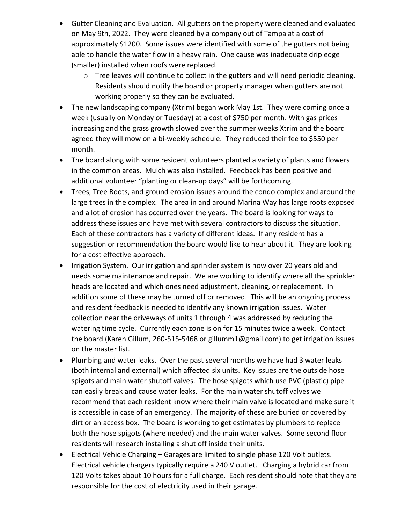- Gutter Cleaning and Evaluation. All gutters on the property were cleaned and evaluated on May 9th, 2022. They were cleaned by a company out of Tampa at a cost of approximately \$1200. Some issues were identified with some of the gutters not being able to handle the water flow in a heavy rain. One cause was inadequate drip edge (smaller) installed when roofs were replaced.
	- $\circ$  Tree leaves will continue to collect in the gutters and will need periodic cleaning. Residents should notify the board or property manager when gutters are not working properly so they can be evaluated.
- The new landscaping company (Xtrim) began work May 1st. They were coming once a week (usually on Monday or Tuesday) at a cost of \$750 per month. With gas prices increasing and the grass growth slowed over the summer weeks Xtrim and the board agreed they will mow on a bi-weekly schedule. They reduced their fee to \$550 per month.
- The board along with some resident volunteers planted a variety of plants and flowers in the common areas. Mulch was also installed. Feedback has been positive and additional volunteer "planting or clean-up days" will be forthcoming.
- Trees, Tree Roots, and ground erosion issues around the condo complex and around the large trees in the complex. The area in and around Marina Way has large roots exposed and a lot of erosion has occurred over the years. The board is looking for ways to address these issues and have met with several contractors to discuss the situation. Each of these contractors has a variety of different ideas. If any resident has a suggestion or recommendation the board would like to hear about it. They are looking for a cost effective approach.
- Irrigation System. Our irrigation and sprinkler system is now over 20 years old and needs some maintenance and repair. We are working to identify where all the sprinkler heads are located and which ones need adjustment, cleaning, or replacement. In addition some of these may be turned off or removed. This will be an ongoing process and resident feedback is needed to identify any known irrigation issues. Water collection near the driveways of units 1 through 4 was addressed by reducing the watering time cycle. Currently each zone is on for 15 minutes twice a week. Contact the board (Karen Gillum, 260-515-5468 or gillumm1@gmail.com) to get irrigation issues on the master list.
- Plumbing and water leaks. Over the past several months we have had 3 water leaks (both internal and external) which affected six units. Key issues are the outside hose spigots and main water shutoff valves. The hose spigots which use PVC (plastic) pipe can easily break and cause water leaks. For the main water shutoff valves we recommend that each resident know where their main valve is located and make sure it is accessible in case of an emergency. The majority of these are buried or covered by dirt or an access box. The board is working to get estimates by plumbers to replace both the hose spigots (where needed) and the main water valves. Some second floor residents will research installing a shut off inside their units.
- Electrical Vehicle Charging Garages are limited to single phase 120 Volt outlets. Electrical vehicle chargers typically require a 240 V outlet. Charging a hybrid car from 120 Volts takes about 10 hours for a full charge. Each resident should note that they are responsible for the cost of electricity used in their garage.